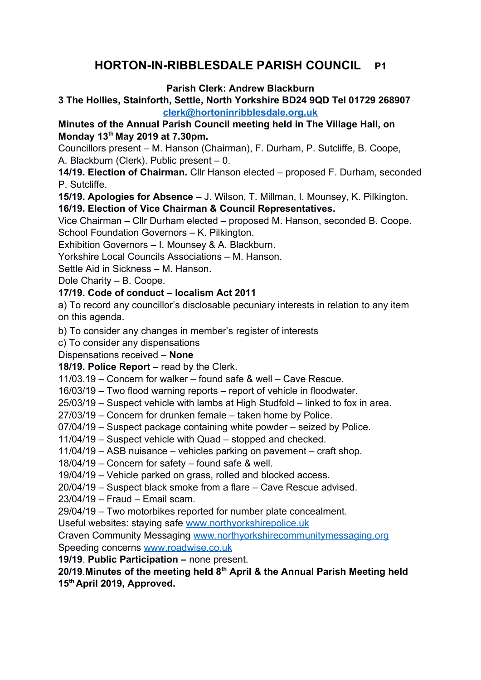# **HORTON-IN-RIBBLESDALE PARISH COUNCIL P1**

**Parish Clerk: Andrew Blackburn** 

**3 The Hollies, Stainforth, Settle, North Yorkshire BD24 9QD Tel 01729 268907 [clerk@hortoninribblesdale.org.uk](mailto:clerk@hortoninribblesdale.org.uk)**

# **Minutes of the Annual Parish Council meeting held in The Village Hall, on Monday 13th May 2019 at 7.30pm.**

Councillors present – M. Hanson (Chairman), F. Durham, P. Sutcliffe, B. Coope, A. Blackburn (Clerk). Public present – 0.

**14/19. Election of Chairman.** Cllr Hanson elected – proposed F. Durham, seconded P. Sutcliffe.

**15/19. Apologies for Absence** – J. Wilson, T. Millman, I. Mounsey, K. Pilkington. **16/19. Election of Vice Chairman & Council Representatives.**

Vice Chairman – Cllr Durham elected – proposed M. Hanson, seconded B. Coope. School Foundation Governors – K. Pilkington.

Exhibition Governors – I. Mounsey & A. Blackburn.

Yorkshire Local Councils Associations – M. Hanson.

Settle Aid in Sickness – M. Hanson.

Dole Charity – B. Coope.

## **17/19. Code of conduct – localism Act 2011**

a) To record any councillor's disclosable pecuniary interests in relation to any item on this agenda.

b) To consider any changes in member's register of interests

c) To consider any dispensations

## Dispensations received – **None**

**18/19. Police Report –** read by the Clerk.

11/03.19 – Concern for walker – found safe & well – Cave Rescue.

16/03/19 – Two flood warning reports – report of vehicle in floodwater.

25/03/19 – Suspect vehicle with lambs at High Studfold – linked to fox in area.

27/03/19 – Concern for drunken female – taken home by Police.

07/04/19 – Suspect package containing white powder – seized by Police.

11/04/19 – Suspect vehicle with Quad – stopped and checked.

11/04/19 – ASB nuisance – vehicles parking on pavement – craft shop.

18/04/19 – Concern for safety – found safe & well.

19/04/19 – Vehicle parked on grass, rolled and blocked access.

20/04/19 – Suspect black smoke from a flare – Cave Rescue advised.

23/04/19 – Fraud – Email scam.

29/04/19 – Two motorbikes reported for number plate concealment.

Useful websites: staying safe [www.northyorkshirepolice.uk](http://www.northyorkshirepolice.uk/)

Craven Community Messaging [www.northyorkshirecommunitymessaging.org](http://www.northyorkshirecommunitymessaging.org/) Speeding concerns [www.roadwise.co.uk](http://www.roadwise.co.uk/)

**19/19**. **Public Participation –** none present.

#### **20/19**.**Minutes of the meeting held 8th April & the Annual Parish Meeting held 15th April 2019, Approved.**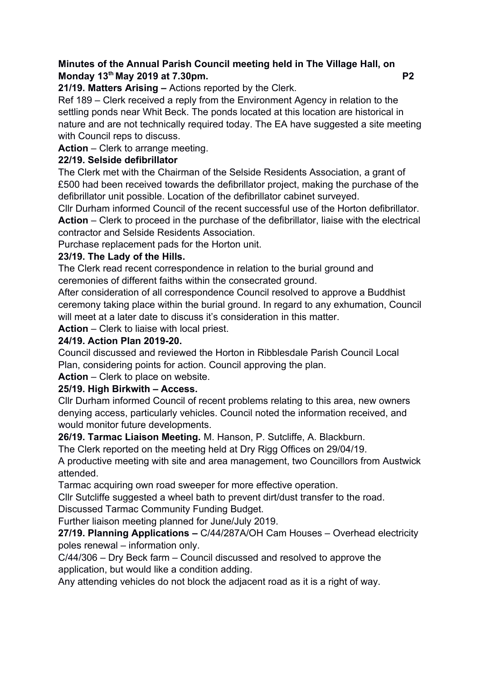#### **Minutes of the Annual Parish Council meeting held in The Village Hall, on Monday 13th May 2019 at 7.30pm. P2**

**21/19. Matters Arising –** Actions reported by the Clerk.

Ref 189 – Clerk received a reply from the Environment Agency in relation to the settling ponds near Whit Beck. The ponds located at this location are historical in nature and are not technically required today. The EA have suggested a site meeting with Council reps to discuss.

**Action** – Clerk to arrange meeting.

## **22/19. Selside defibrillator**

The Clerk met with the Chairman of the Selside Residents Association, a grant of £500 had been received towards the defibrillator project, making the purchase of the defibrillator unit possible. Location of the defibrillator cabinet surveyed.

Cllr Durham informed Council of the recent successful use of the Horton defibrillator. **Action** – Clerk to proceed in the purchase of the defibrillator, liaise with the electrical contractor and Selside Residents Association.

Purchase replacement pads for the Horton unit.

#### **23/19. The Lady of the Hills.**

The Clerk read recent correspondence in relation to the burial ground and ceremonies of different faiths within the consecrated ground.

After consideration of all correspondence Council resolved to approve a Buddhist ceremony taking place within the burial ground. In regard to any exhumation, Council will meet at a later date to discuss it's consideration in this matter.

**Action** – Clerk to liaise with local priest.

## **24/19. Action Plan 2019-20.**

Council discussed and reviewed the Horton in Ribblesdale Parish Council Local Plan, considering points for action. Council approving the plan.

**Action** – Clerk to place on website.

## **25/19. High Birkwith – Access.**

Cllr Durham informed Council of recent problems relating to this area, new owners denying access, particularly vehicles. Council noted the information received, and would monitor future developments.

**26/19. Tarmac Liaison Meeting.** M. Hanson, P. Sutcliffe, A. Blackburn.

The Clerk reported on the meeting held at Dry Rigg Offices on 29/04/19.

A productive meeting with site and area management, two Councillors from Austwick attended.

Tarmac acquiring own road sweeper for more effective operation.

Cllr Sutcliffe suggested a wheel bath to prevent dirt/dust transfer to the road.

Discussed Tarmac Community Funding Budget.

Further liaison meeting planned for June/July 2019.

**27/19. Planning Applications –** C/44/287A/OH Cam Houses – Overhead electricity poles renewal – information only.

C/44/306 – Dry Beck farm – Council discussed and resolved to approve the application, but would like a condition adding.

Any attending vehicles do not block the adjacent road as it is a right of way.